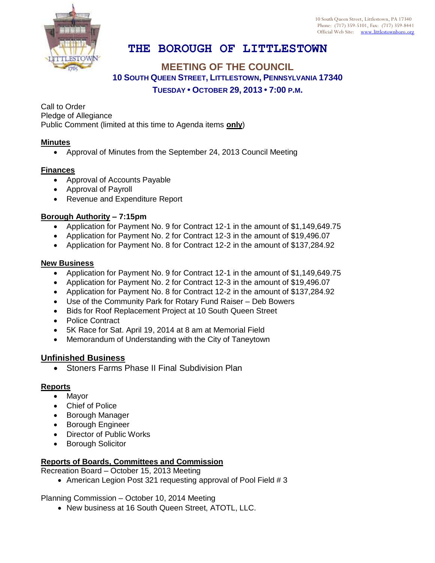10 South Queen Street, Littlestown, PA 17340 Phone: (717) 359-5101, Fax: (717) 359-8441 Official Web Site: [www.littlestownboro.org](http://www.littlestown.us/)

# **THE BOROUGH OF LITTLESTOWN**

## **MEETING OF THE COUNCIL 10 SOUTH QUEEN STREET, LITTLESTOWN, PENNSYLVANIA 17340 TUESDAY • OCTOBER 29, 2013 • 7:00 P.M.**

Call to Order Pledge of Allegiance Public Comment (limited at this time to Agenda items **only**)

#### **Minutes**

Approval of Minutes from the September 24, 2013 Council Meeting

#### **Finances**

- Approval of Accounts Payable
- Approval of Payroll
- Revenue and Expenditure Report

#### **Borough Authority – 7:15pm**

- Application for Payment No. 9 for Contract 12-1 in the amount of \$1,149,649.75
- Application for Payment No. 2 for Contract 12-3 in the amount of \$19,496.07
- Application for Payment No. 8 for Contract 12-2 in the amount of \$137,284.92

#### **New Business**

- Application for Payment No. 9 for Contract 12-1 in the amount of \$1,149,649.75
- Application for Payment No. 2 for Contract 12-3 in the amount of \$19,496.07
- Application for Payment No. 8 for Contract 12-2 in the amount of \$137,284.92
- Use of the Community Park for Rotary Fund Raiser Deb Bowers
- Bids for Roof Replacement Project at 10 South Queen Street
- Police Contract
- 5K Race for Sat. April 19, 2014 at 8 am at Memorial Field
- Memorandum of Understanding with the City of Taneytown

### **Unfinished Business**

• Stoners Farms Phase II Final Subdivision Plan

### **Reports**

- Mayor
- Chief of Police
- Borough Manager
- **•** Borough Engineer
- Director of Public Works
- **•** Borough Solicitor

### **Reports of Boards, Committees and Commission**

Recreation Board – October 15, 2013 Meeting

• American Legion Post 321 requesting approval of Pool Field # 3

Planning Commission – October 10, 2014 Meeting

• New business at 16 South Queen Street, ATOTL, LLC.